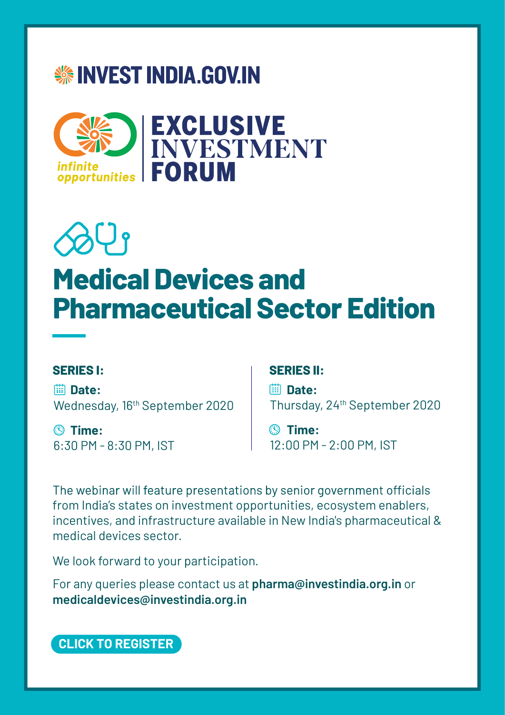## **※INVEST INDIA.GOV.IN**



# $\partial \psi$ **Medical Devices and Pharmaceutical Sector Edition**

**Date:** Wednesday, 16<sup>th</sup> September 2020

**Time:** 6:30 PM - 8:30 PM, IST

### **SERIES I: SERIES II:**

**Date:** Thursday, 24th September 2020

**Time:** 12:00 PM - 2:00 PM, IST

The webinar will feature presentations by senior government officials from India's states on investment opportunities, ecosystem enablers, incentives, and infrastructure available in New India's pharmaceutical & medical devices sector.

We look forward to your participation.

For any queries please contact us at **pharma@investindia.org.in** or **medicaldevices@investindia.org.in** 

**[CLICK TO REGISTER](https://www.investindia.gov.in/eif/pharma-and-medical-devices-edition/registration)**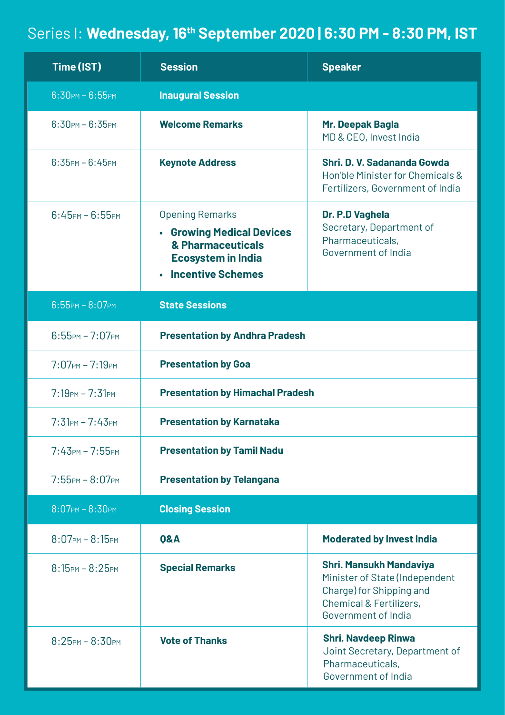## Series I: **Wednesday, 16th September 2020 | 6:30 PM - 8:30 PM, IST**

| Time (IST)                                  | <b>Session</b>                                                                                                                    | <b>Speaker</b>                                                                                                                                            |
|---------------------------------------------|-----------------------------------------------------------------------------------------------------------------------------------|-----------------------------------------------------------------------------------------------------------------------------------------------------------|
| $6:30$ PM - $6:55$ PM                       | <b>Inaugural Session</b>                                                                                                          |                                                                                                                                                           |
| $6:30$ PM - $6:35$ PM                       | <b>Welcome Remarks</b>                                                                                                            | Mr. Deepak Bagla<br>MD & CEO, Invest India                                                                                                                |
| $6:35$ PM - $6:45$ PM                       | <b>Keynote Address</b>                                                                                                            | Shri. D. V. Sadananda Gowda<br>Hon'ble Minister for Chemicals &<br>Fertilizers, Government of India                                                       |
| $6:45$ PM - $6:55$ PM                       | <b>Opening Remarks</b><br>• Growing Medical Devices<br>& Pharmaceuticals<br><b>Ecosystem in India</b><br><b>Incentive Schemes</b> | Dr. P.D Vaghela<br>Secretary, Department of<br>Pharmaceuticals,<br>Government of India                                                                    |
| $6:55$ PM - $8:07$ PM                       | <b>State Sessions</b>                                                                                                             |                                                                                                                                                           |
| $6:55$ PM - $7:07$ PM                       | <b>Presentation by Andhra Pradesh</b>                                                                                             |                                                                                                                                                           |
| $7:07$ PM - $7:19$ PM                       | <b>Presentation by Goa</b>                                                                                                        |                                                                                                                                                           |
| $7:19PM - 7:31PM$                           | <b>Presentation by Himachal Pradesh</b>                                                                                           |                                                                                                                                                           |
| $7:31PM - 7:43PM$                           | <b>Presentation by Karnataka</b>                                                                                                  |                                                                                                                                                           |
| $7:43$ <sub>PM</sub> - $7:55$ <sub>PM</sub> | <b>Presentation by Tamil Nadu</b>                                                                                                 |                                                                                                                                                           |
| $7:55$ PM - $8:07$ PM                       | <b>Presentation by Telangana</b>                                                                                                  |                                                                                                                                                           |
| $8:07$ PM - $8:30$ PM                       | <b>Closing Session</b>                                                                                                            |                                                                                                                                                           |
| $8:07$ PM - $8:15$ PM                       | 0&A                                                                                                                               | <b>Moderated by Invest India</b>                                                                                                                          |
| $8:15$ PM - $8:25$ PM                       | <b>Special Remarks</b>                                                                                                            | <b>Shri. Mansukh Mandaviya</b><br>Minister of State (Independent<br>Charge) for Shipping and<br><b>Chemical &amp; Fertilizers,</b><br>Government of India |
| $8:25$ PM - $8:30$ PM                       | <b>Vote of Thanks</b>                                                                                                             | <b>Shri. Navdeep Rinwa</b><br>Joint Secretary, Department of<br>Pharmaceuticals,<br>Government of India                                                   |